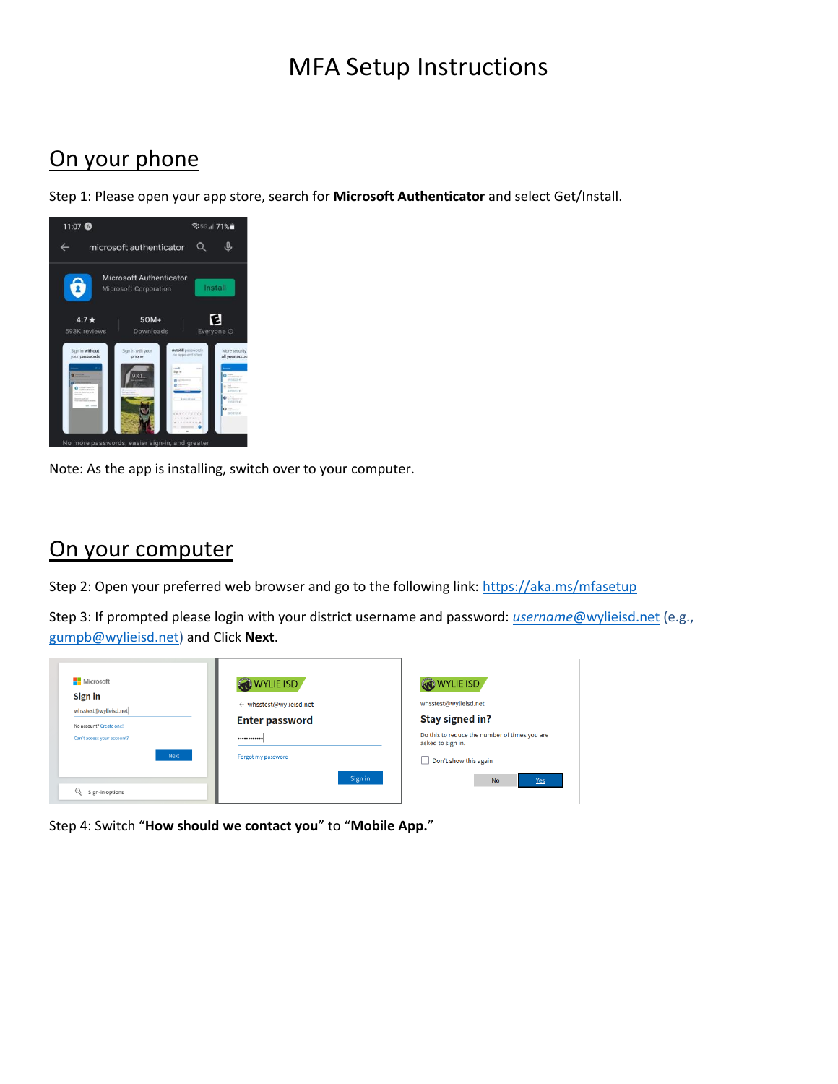# MFA Setup Instructions

## On your phone

Step 1: Please open your app store, search for **Microsoft Authenticator** and select Get/Install.



Note: As the app is installing, switch over to your computer.

#### On your computer

Step 2: Open your preferred web browser and go to the following link[: https://aka.ms/mfasetup](https://aka.ms/mfasetup)

Step 3: If prompted please login with your district username and password: *username*[@wylieisd.net](mailto:username@wylieisd.net) (e.g., [gumpb@wylieisd.net\)](mailto:gumpb@wylieisd.net) and Click **Next**.

| <b>Microsoft</b>                 | WYLIE ISD               | WYLIE ISD                                                          |
|----------------------------------|-------------------------|--------------------------------------------------------------------|
| Sign in<br>whsstest@wylieisd.net | ← whsstest@wylieisd.net | whsstest@wylieisd.net                                              |
| No account? Create one!          | <b>Enter password</b>   | Stay signed in?                                                    |
| Can't access your account?       |                         | Do this to reduce the number of times you are<br>asked to sign in. |
| Next                             | Forgot my password      | Don't show this again<br>H                                         |
|                                  | Sign in                 | <b>No</b><br><b>Yes</b>                                            |
| $\mathbb{Q}$<br>Sign-in options  |                         |                                                                    |

Step 4: Switch "**How should we contact you**" to "**Mobile App.**"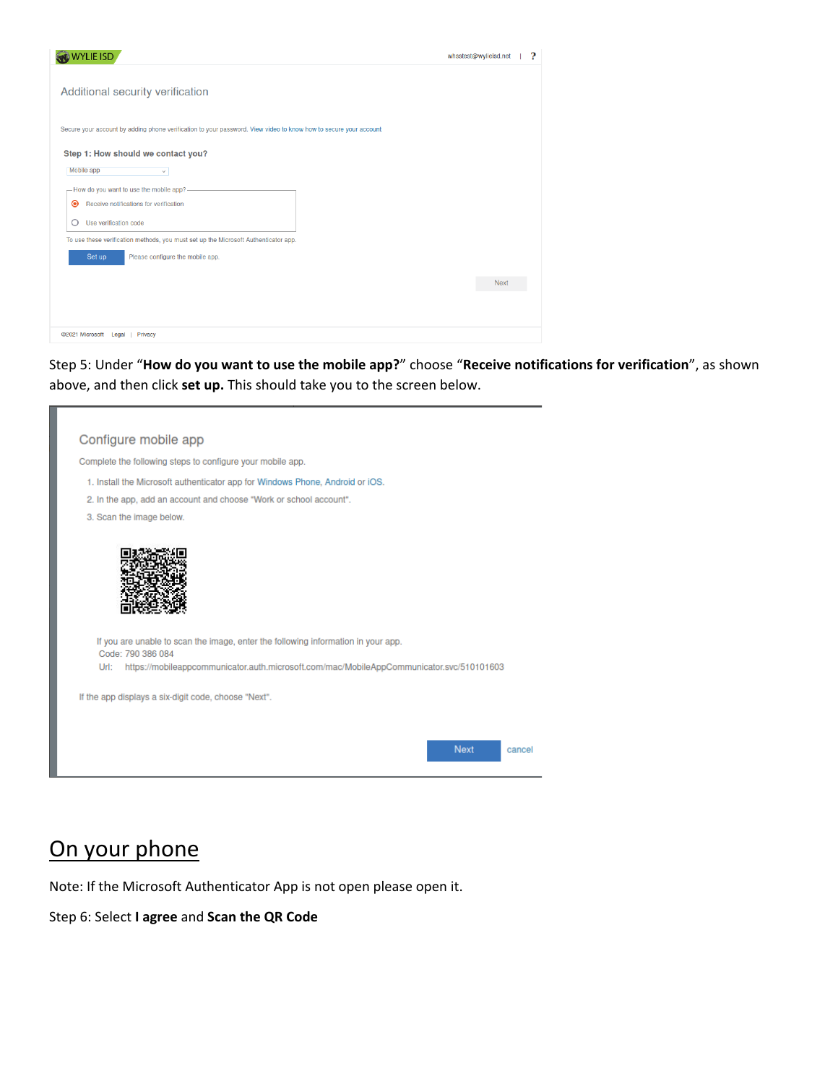| WYLIE ISD                                                                                                                         | ?<br>whsstest@wylieisd.net |
|-----------------------------------------------------------------------------------------------------------------------------------|----------------------------|
| Additional security verification                                                                                                  |                            |
| Secure your account by adding phone verification to your password. View video to know how to secure your account                  |                            |
| Step 1: How should we contact you?<br>Mobile app<br>$\checkmark$                                                                  |                            |
| - How do you want to use the mobile app?-<br>Receive notifications for verification<br>$\odot$<br>Use verification code<br>O      |                            |
| To use these verification methods, you must set up the Microsoft Authenticator app.<br>Please configure the mobile app.<br>Set up |                            |
|                                                                                                                                   | Next                       |
|                                                                                                                                   |                            |
| @2021 Microsoft Legal<br>Privacy                                                                                                  |                            |

Step 5: Under "**How do you want to use the mobile app?**" choose "**Receive notifications for verification**", as shown above, and then click **set up.** This should take you to the screen below.

| Configure mobile app                                                                                   |                       |
|--------------------------------------------------------------------------------------------------------|-----------------------|
| Complete the following steps to configure your mobile app.                                             |                       |
| 1. Install the Microsoft authenticator app for Windows Phone, Android or iOS.                          |                       |
| 2. In the app, add an account and choose "Work or school account".                                     |                       |
| 3. Scan the image below.                                                                               |                       |
|                                                                                                        |                       |
| If you are unable to scan the image, enter the following information in your app.<br>Code: 790 386 084 |                       |
| https://mobileappcommunicator.auth.microsoft.com/mac/MobileAppCommunicator.svc/510101603<br>Url:       |                       |
| If the app displays a six-digit code, choose "Next".                                                   |                       |
|                                                                                                        |                       |
|                                                                                                        | <b>Next</b><br>cancel |
|                                                                                                        |                       |

# On your phone

Note: If the Microsoft Authenticator App is not open please open it.

Step 6: Select **I agree** and **Scan the QR Code**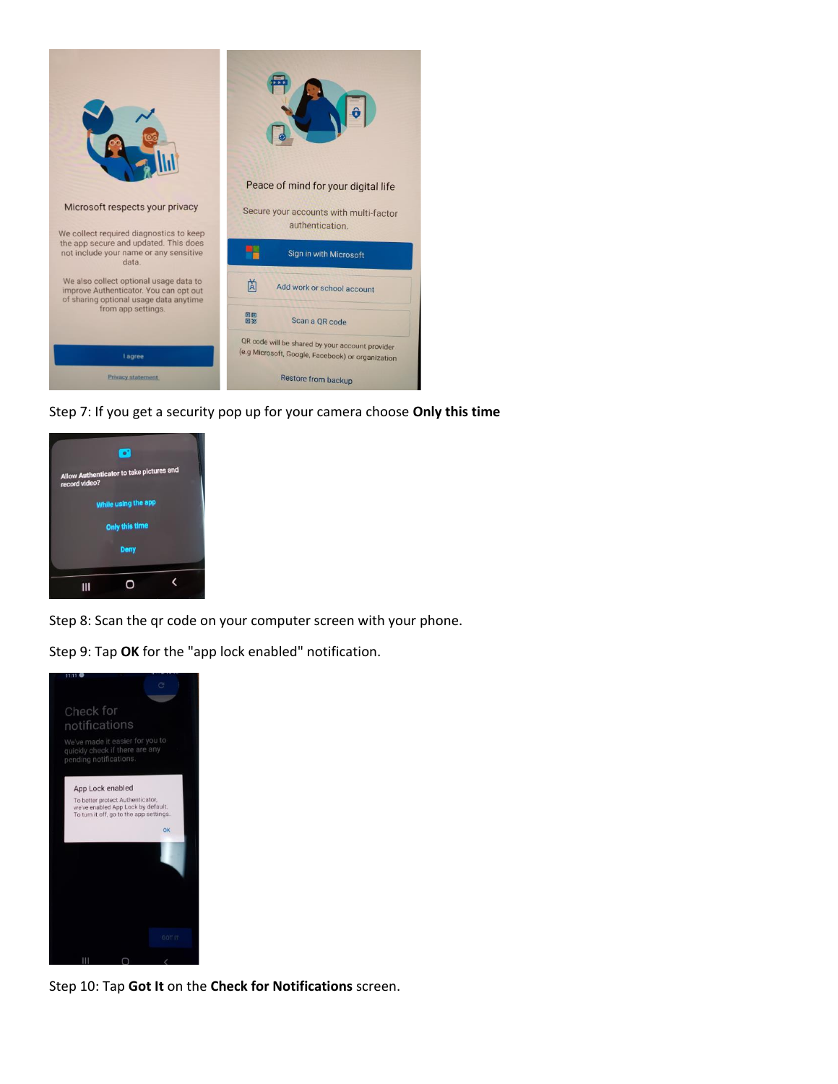

Step 7: If you get a security pop up for your camera choose **Only this time**



Step 8: Scan the qr code on your computer screen with your phone.

Step 9: Tap **OK** for the "app lock enabled" notification.



Step 10: Tap **Got It** on the **Check for Notifications** screen.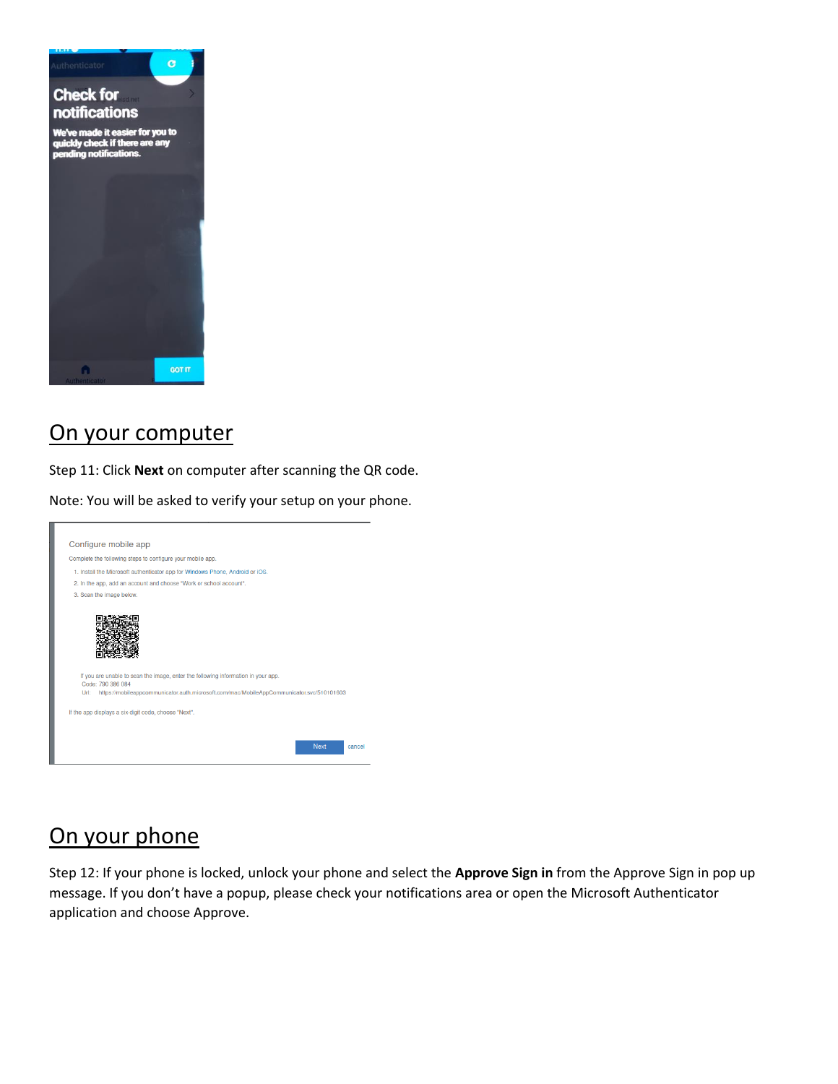

### On your computer

Step 11: Click **Next** on computer after scanning the QR code.

Note: You will be asked to verify your setup on your phone.



#### On your phone

Step 12: If your phone is locked, unlock your phone and select the **Approve Sign in** from the Approve Sign in pop up message. If you don't have a popup, please check your notifications area or open the Microsoft Authenticator application and choose Approve.